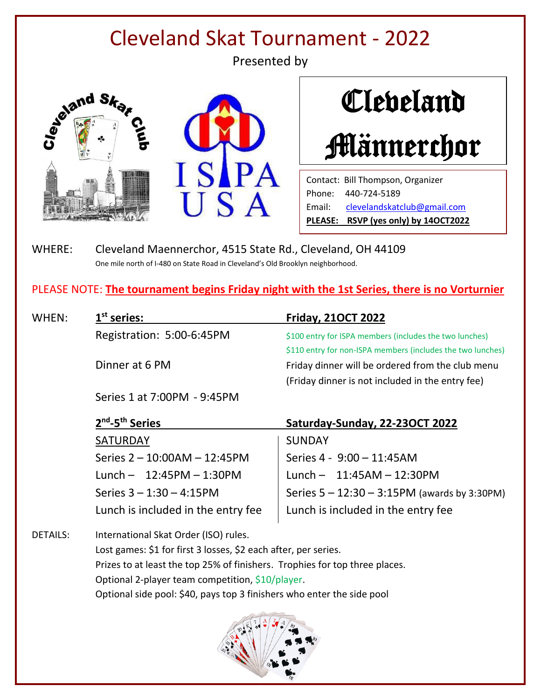# Cleveland Skat Tournament - 2022

Presented by







Contact: Bill Thompson, Organizer Phone: 440-724-5189 Email: [clevelandskatclub@gmail.com](mailto:clevelandskatclub@gmail.com)<br>Email: clevelandskatclub@gmail.com **PLEASE: RSVP (yes only) by 14OCT2022**

WHERE: Cleveland Maennerchor, 4515 State Rd., Cleveland, OH 44109 One mile north of I-480 on State Road in Cleveland's Old Brooklyn neighborhood.

PLEASE NOTE: **The tournament begins Friday night with the 1st Series, there is no Vorturnier**

| WHEN:           | $1st$ series:                                                               | <b>Friday, 210CT 2022</b>                                   |
|-----------------|-----------------------------------------------------------------------------|-------------------------------------------------------------|
|                 | Registration: 5:00-6:45PM                                                   | \$100 entry for ISPA members (includes the two lunches)     |
|                 |                                                                             | \$110 entry for non-ISPA members (includes the two lunches) |
|                 | Dinner at 6 PM                                                              | Friday dinner will be ordered from the club menu            |
|                 |                                                                             | (Friday dinner is not included in the entry fee)            |
|                 | Series 1 at 7:00PM - 9:45PM                                                 |                                                             |
|                 | 2 <sup>nd</sup> -5 <sup>th</sup> Series                                     | Saturday-Sunday, 22-23OCT 2022                              |
|                 | <b>SATURDAY</b>                                                             | <b>SUNDAY</b>                                               |
|                 | Series 2 - 10:00AM - 12:45PM                                                | Series 4 - 9:00 - 11:45AM                                   |
|                 | Lunch $- 12:45PM - 1:30PM$                                                  | Lunch $- 11:45AM - 12:30PM$                                 |
|                 | Series $3 - 1:30 - 4:15$ PM                                                 | Series $5 - 12:30 - 3:15PM$ (awards by 3:30PM)              |
|                 | Lunch is included in the entry fee                                          | Lunch is included in the entry fee                          |
| <b>DETAILS:</b> | International Skat Order (ISO) rules.                                       |                                                             |
|                 | Lost games: \$1 for first 3 losses, \$2 each after, per series.             |                                                             |
|                 | Prizes to at least the top 25% of finishers. Trophies for top three places. |                                                             |
|                 | Optional 2-player team competition, \$10/player.                            |                                                             |

Optional side pool: \$40, pays top 3 finishers who enter the side pool